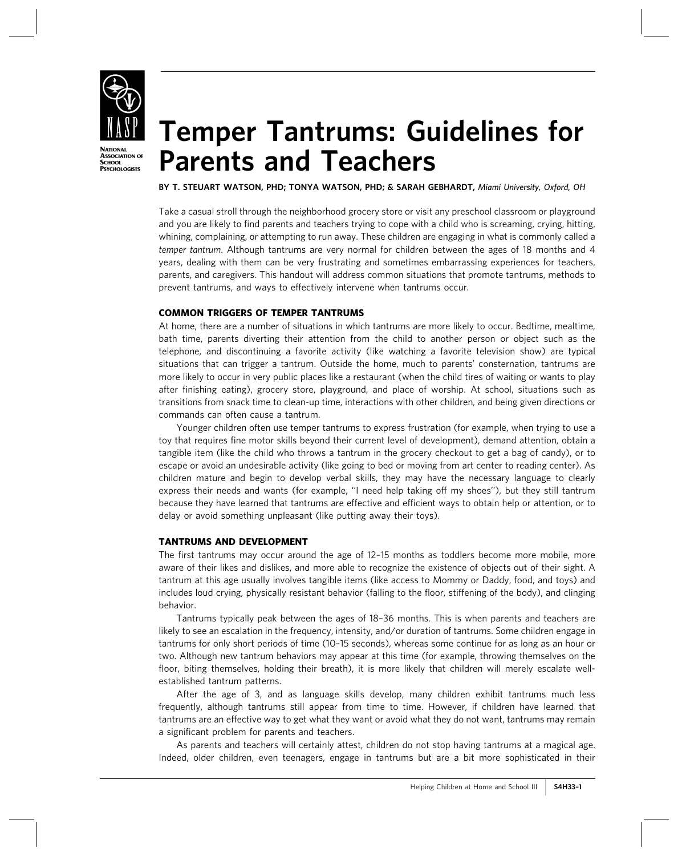

**PSYCHOLOGISTS** 

# Temper Tantrums: Guidelines for Parents and Teachers

BY T. STEUART WATSON, PHD; TONYA WATSON, PHD; & SARAH GEBHARDT, Miami University, Oxford, OH

Take a casual stroll through the neighborhood grocery store or visit any preschool classroom or playground and you are likely to find parents and teachers trying to cope with a child who is screaming, crying, hitting, whining, complaining, or attempting to run away. These children are engaging in what is commonly called a temper tantrum. Although tantrums are very normal for children between the ages of 18 months and 4 years, dealing with them can be very frustrating and sometimes embarrassing experiences for teachers, parents, and caregivers. This handout will address common situations that promote tantrums, methods to prevent tantrums, and ways to effectively intervene when tantrums occur.

### COMMON TRIGGERS OF TEMPER TANTRUMS

At home, there are a number of situations in which tantrums are more likely to occur. Bedtime, mealtime, bath time, parents diverting their attention from the child to another person or object such as the telephone, and discontinuing a favorite activity (like watching a favorite television show) are typical situations that can trigger a tantrum. Outside the home, much to parents' consternation, tantrums are more likely to occur in very public places like a restaurant (when the child tires of waiting or wants to play after finishing eating), grocery store, playground, and place of worship. At school, situations such as transitions from snack time to clean-up time, interactions with other children, and being given directions or commands can often cause a tantrum.

Younger children often use temper tantrums to express frustration (for example, when trying to use a toy that requires fine motor skills beyond their current level of development), demand attention, obtain a tangible item (like the child who throws a tantrum in the grocery checkout to get a bag of candy), or to escape or avoid an undesirable activity (like going to bed or moving from art center to reading center). As children mature and begin to develop verbal skills, they may have the necessary language to clearly express their needs and wants (for example, "I need help taking off my shoes"), but they still tantrum because they have learned that tantrums are effective and efficient ways to obtain help or attention, or to delay or avoid something unpleasant (like putting away their toys).

### TANTRUMS AND DEVELOPMENT

The first tantrums may occur around the age of 12–15 months as toddlers become more mobile, more aware of their likes and dislikes, and more able to recognize the existence of objects out of their sight. A tantrum at this age usually involves tangible items (like access to Mommy or Daddy, food, and toys) and includes loud crying, physically resistant behavior (falling to the floor, stiffening of the body), and clinging behavior.

Tantrums typically peak between the ages of 18–36 months. This is when parents and teachers are likely to see an escalation in the frequency, intensity, and/or duration of tantrums. Some children engage in tantrums for only short periods of time (10–15 seconds), whereas some continue for as long as an hour or two. Although new tantrum behaviors may appear at this time (for example, throwing themselves on the floor, biting themselves, holding their breath), it is more likely that children will merely escalate wellestablished tantrum patterns.

After the age of 3, and as language skills develop, many children exhibit tantrums much less frequently, although tantrums still appear from time to time. However, if children have learned that tantrums are an effective way to get what they want or avoid what they do not want, tantrums may remain a significant problem for parents and teachers.

As parents and teachers will certainly attest, children do not stop having tantrums at a magical age. Indeed, older children, even teenagers, engage in tantrums but are a bit more sophisticated in their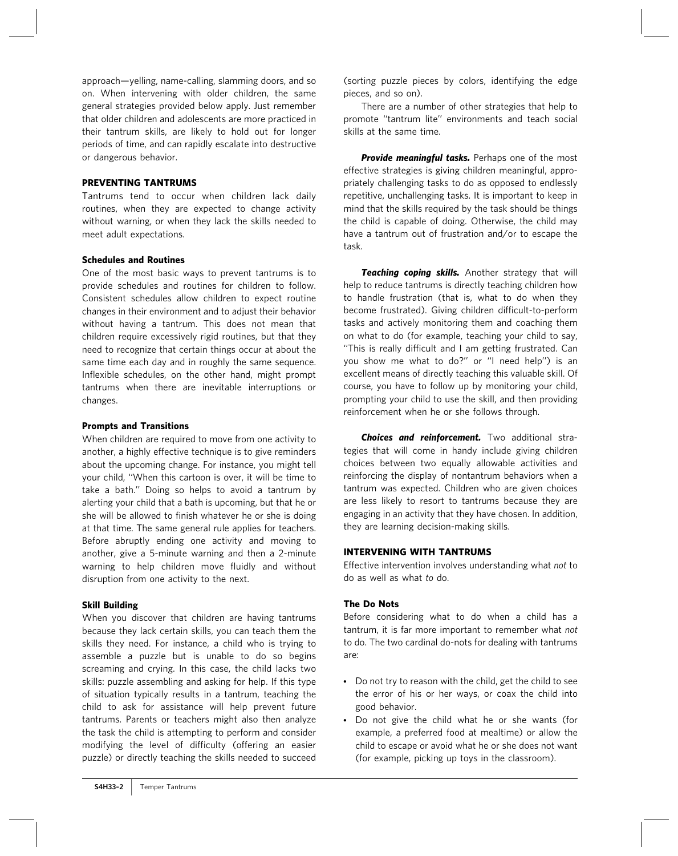approach—yelling, name-calling, slamming doors, and so on. When intervening with older children, the same general strategies provided below apply. Just remember that older children and adolescents are more practiced in their tantrum skills, are likely to hold out for longer periods of time, and can rapidly escalate into destructive or dangerous behavior.

### PREVENTING TANTRUMS

Tantrums tend to occur when children lack daily routines, when they are expected to change activity without warning, or when they lack the skills needed to meet adult expectations.

#### Schedules and Routines

One of the most basic ways to prevent tantrums is to provide schedules and routines for children to follow. Consistent schedules allow children to expect routine changes in their environment and to adjust their behavior without having a tantrum. This does not mean that children require excessively rigid routines, but that they need to recognize that certain things occur at about the same time each day and in roughly the same sequence. Inflexible schedules, on the other hand, might prompt tantrums when there are inevitable interruptions or changes.

#### Prompts and Transitions

When children are required to move from one activity to another, a highly effective technique is to give reminders about the upcoming change. For instance, you might tell your child, ''When this cartoon is over, it will be time to take a bath.'' Doing so helps to avoid a tantrum by alerting your child that a bath is upcoming, but that he or she will be allowed to finish whatever he or she is doing at that time. The same general rule applies for teachers. Before abruptly ending one activity and moving to another, give a 5-minute warning and then a 2-minute warning to help children move fluidly and without disruption from one activity to the next.

### Skill Building

When you discover that children are having tantrums because they lack certain skills, you can teach them the skills they need. For instance, a child who is trying to assemble a puzzle but is unable to do so begins screaming and crying. In this case, the child lacks two skills: puzzle assembling and asking for help. If this type of situation typically results in a tantrum, teaching the child to ask for assistance will help prevent future tantrums. Parents or teachers might also then analyze the task the child is attempting to perform and consider modifying the level of difficulty (offering an easier puzzle) or directly teaching the skills needed to succeed

(sorting puzzle pieces by colors, identifying the edge pieces, and so on).

There are a number of other strategies that help to promote ''tantrum lite'' environments and teach social skills at the same time.

Provide meaningful tasks. Perhaps one of the most effective strategies is giving children meaningful, appropriately challenging tasks to do as opposed to endlessly repetitive, unchallenging tasks. It is important to keep in mind that the skills required by the task should be things the child is capable of doing. Otherwise, the child may have a tantrum out of frustration and/or to escape the task.

Teaching coping skills. Another strategy that will help to reduce tantrums is directly teaching children how to handle frustration (that is, what to do when they become frustrated). Giving children difficult-to-perform tasks and actively monitoring them and coaching them on what to do (for example, teaching your child to say, ''This is really difficult and I am getting frustrated. Can you show me what to do?'' or ''I need help'') is an excellent means of directly teaching this valuable skill. Of course, you have to follow up by monitoring your child, prompting your child to use the skill, and then providing reinforcement when he or she follows through.

Choices and reinforcement. Two additional strategies that will come in handy include giving children choices between two equally allowable activities and reinforcing the display of nontantrum behaviors when a tantrum was expected. Children who are given choices are less likely to resort to tantrums because they are engaging in an activity that they have chosen. In addition, they are learning decision-making skills.

### INTERVENING WITH TANTRUMS

Effective intervention involves understanding what not to do as well as what to do.

### The Do Nots

Before considering what to do when a child has a tantrum, it is far more important to remember what not to do. The two cardinal do-nots for dealing with tantrums are:

- Do not try to reason with the child, get the child to see the error of his or her ways, or coax the child into good behavior.
- Do not give the child what he or she wants (for example, a preferred food at mealtime) or allow the child to escape or avoid what he or she does not want (for example, picking up toys in the classroom).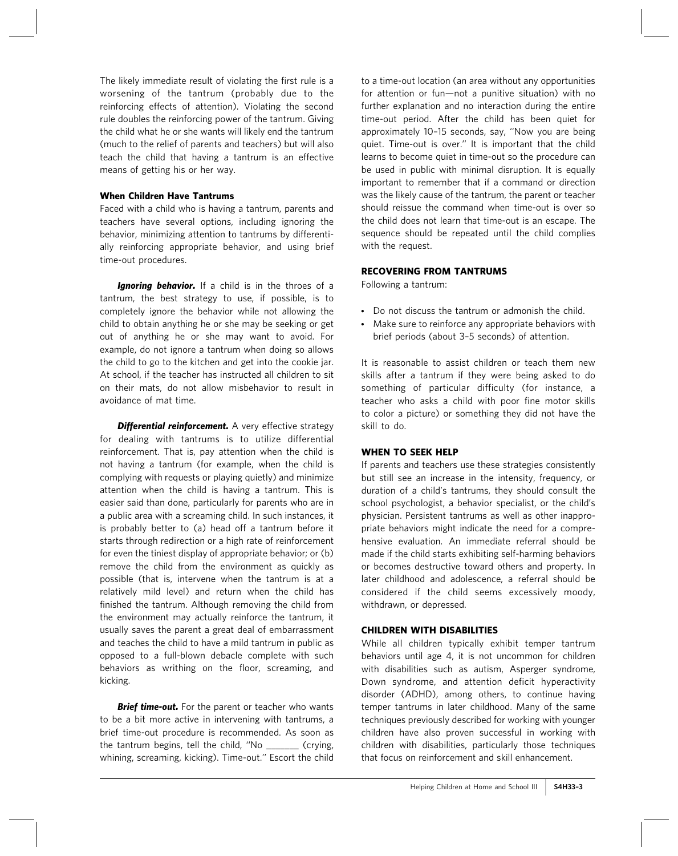The likely immediate result of violating the first rule is a worsening of the tantrum (probably due to the reinforcing effects of attention). Violating the second rule doubles the reinforcing power of the tantrum. Giving the child what he or she wants will likely end the tantrum (much to the relief of parents and teachers) but will also teach the child that having a tantrum is an effective means of getting his or her way.

### When Children Have Tantrums

Faced with a child who is having a tantrum, parents and teachers have several options, including ignoring the behavior, minimizing attention to tantrums by differentially reinforcing appropriate behavior, and using brief time-out procedures.

**Ignoring behavior.** If a child is in the throes of a tantrum, the best strategy to use, if possible, is to completely ignore the behavior while not allowing the child to obtain anything he or she may be seeking or get out of anything he or she may want to avoid. For example, do not ignore a tantrum when doing so allows the child to go to the kitchen and get into the cookie jar. At school, if the teacher has instructed all children to sit on their mats, do not allow misbehavior to result in avoidance of mat time.

**Differential reinforcement.** A very effective strategy for dealing with tantrums is to utilize differential reinforcement. That is, pay attention when the child is not having a tantrum (for example, when the child is complying with requests or playing quietly) and minimize attention when the child is having a tantrum. This is easier said than done, particularly for parents who are in a public area with a screaming child. In such instances, it is probably better to (a) head off a tantrum before it starts through redirection or a high rate of reinforcement for even the tiniest display of appropriate behavior; or (b) remove the child from the environment as quickly as possible (that is, intervene when the tantrum is at a relatively mild level) and return when the child has finished the tantrum. Although removing the child from the environment may actually reinforce the tantrum, it usually saves the parent a great deal of embarrassment and teaches the child to have a mild tantrum in public as opposed to a full-blown debacle complete with such behaviors as writhing on the floor, screaming, and kicking.

**Brief time-out.** For the parent or teacher who wants to be a bit more active in intervening with tantrums, a brief time-out procedure is recommended. As soon as the tantrum begins, tell the child, ''No \_\_\_\_\_\_\_ (crying, whining, screaming, kicking). Time-out.'' Escort the child to a time-out location (an area without any opportunities for attention or fun—not a punitive situation) with no further explanation and no interaction during the entire time-out period. After the child has been quiet for approximately 10–15 seconds, say, ''Now you are being quiet. Time-out is over.'' It is important that the child learns to become quiet in time-out so the procedure can be used in public with minimal disruption. It is equally important to remember that if a command or direction was the likely cause of the tantrum, the parent or teacher should reissue the command when time-out is over so the child does not learn that time-out is an escape. The sequence should be repeated until the child complies with the request.

## RECOVERING FROM TANTRUMS

Following a tantrum:

- Do not discuss the tantrum or admonish the child.
- Make sure to reinforce any appropriate behaviors with brief periods (about 3–5 seconds) of attention.

It is reasonable to assist children or teach them new skills after a tantrum if they were being asked to do something of particular difficulty (for instance, a teacher who asks a child with poor fine motor skills to color a picture) or something they did not have the skill to do.

### WHEN TO SEEK HELP

If parents and teachers use these strategies consistently but still see an increase in the intensity, frequency, or duration of a child's tantrums, they should consult the school psychologist, a behavior specialist, or the child's physician. Persistent tantrums as well as other inappropriate behaviors might indicate the need for a comprehensive evaluation. An immediate referral should be made if the child starts exhibiting self-harming behaviors or becomes destructive toward others and property. In later childhood and adolescence, a referral should be considered if the child seems excessively moody, withdrawn, or depressed.

### CHILDREN WITH DISABILITIES

While all children typically exhibit temper tantrum behaviors until age 4, it is not uncommon for children with disabilities such as autism, Asperger syndrome, Down syndrome, and attention deficit hyperactivity disorder (ADHD), among others, to continue having temper tantrums in later childhood. Many of the same techniques previously described for working with younger children have also proven successful in working with children with disabilities, particularly those techniques that focus on reinforcement and skill enhancement.